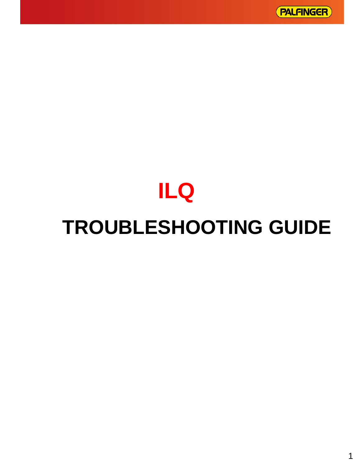# **ILQ**

# **TROUBLESHOOTING GUIDE**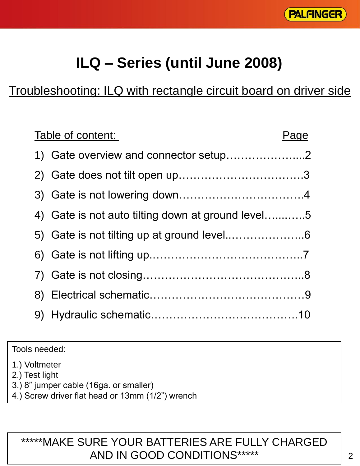

# **ILQ – Series (until June 2008)**

## Troubleshooting: ILQ with rectangle circuit board on driver side

| Table of content:                                 | Page |
|---------------------------------------------------|------|
| 1) Gate overview and connector setup2             |      |
|                                                   |      |
|                                                   |      |
| 4) Gate is not auto tilting down at ground level5 |      |
|                                                   |      |
|                                                   |      |
|                                                   |      |
|                                                   |      |
|                                                   |      |

Tools needed:

1.) Voltmeter

2.) Test light

- 3.) 8" jumper cable (16ga. or smaller)
- 4.) Screw driver flat head or 13mm (1/2") wrench

#### \*\*\*\*\*MAKE SURE YOUR BATTERIES ARE FULLY CHARGED AND IN GOOD CONDITIONS\*\*\*\*\*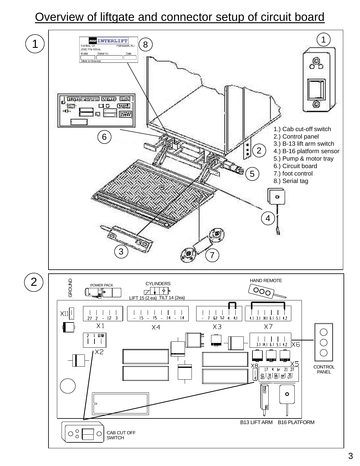#### Overview of liftgate and connector setup of circuit board

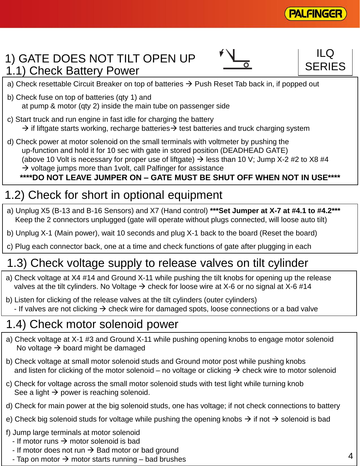

#### 1) GATE DOES NOT TILT OPEN UP 1.1) Check Battery Power

 $\overline{\mathsf{o}}$ 

ILQ **SERIES** 

- a) Check resettable Circuit Breaker on top of batteries  $\rightarrow$  Push Reset Tab back in, if popped out
- b) Check fuse on top of batteries (qty 1) and at pump & motor (qty 2) inside the main tube on passenger side
- c) Start truck and run engine in fast idle for charging the battery  $\rightarrow$  if liftgate starts working, recharge batteries  $\rightarrow$  test batteries and truck charging system
- d) Check power at motor solenoid on the small terminals with voltmeter by pushing the up-function and hold it for 10 sec with gate in stored position (DEADHEAD GATE) (above 10 Volt is necessary for proper use of liftgate)  $\rightarrow$  less than 10 V; Jump X-2 #2 to X8 #4  $\rightarrow$  voltage jumps more than 1 volt, call Palfinger for assistance **\*\*\*\*DO NOT LEAVE JUMPER ON – GATE MUST BE SHUT OFF WHEN NOT IN USE\*\*\*\***

## 1.2) Check for short in optional equipment

- a) Unplug X5 (B-13 and B-16 Sensors) and X7 (Hand control) **\*\*\*Set Jumper at X-7 at #4.1 to #4.2\*\*\*** Keep the 2 connectors unplugged (gate will operate without plugs connected, will loose auto tilt)
- b) Unplug X-1 (Main power), wait 10 seconds and plug X-1 back to the board (Reset the board)
- c) Plug each connector back, one at a time and check functions of gate after plugging in each

## 1.3) Check voltage supply to release valves on tilt cylinder

- a) Check voltage at X4 #14 and Ground X-11 while pushing the tilt knobs for opening up the release valves at the tilt cylinders. No Voltage  $\rightarrow$  check for loose wire at X-6 or no signal at X-6 #14
- b) Listen for clicking of the release valves at the tilt cylinders (outer cylinders) - If valves are not clicking  $\rightarrow$  check wire for damaged spots, loose connections or a bad valve

#### 1.4) Check motor solenoid power

- a) Check voltage at X-1 #3 and Ground X-11 while pushing opening knobs to engage motor solenoid No voltage  $\rightarrow$  board might be damaged
- b) Check voltage at small motor solenoid studs and Ground motor post while pushing knobs and listen for clicking of the motor solenoid – no voltage or clicking  $\rightarrow$  check wire to motor solenoid
- c) Check for voltage across the small motor solenoid studs with test light while turning knob See a light  $\rightarrow$  power is reaching solenoid.
- d) Check for main power at the big solenoid studs, one has voltage; if not check connections to battery
- e) Check big solenoid studs for voltage while pushing the opening knobs  $\rightarrow$  if not  $\rightarrow$  solenoid is bad
- f) Jump large terminals at motor solenoid
	- If motor runs  $\rightarrow$  motor solenoid is bad
	- If motor does not run  $\rightarrow$  Bad motor or bad ground
	- Tap on motor  $\rightarrow$  motor starts running bad brushes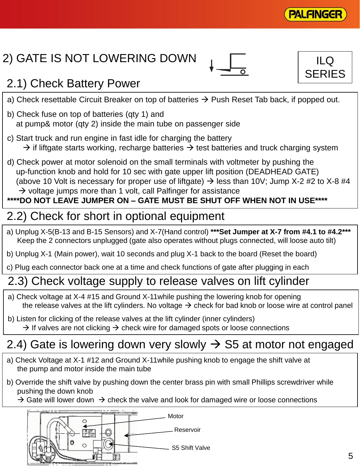

ILQ **SERIES** 

# 2) GATE IS NOT LOWERING DOWN



# 2.1) Check Battery Power

- a) Check resettable Circuit Breaker on top of batteries  $\rightarrow$  Push Reset Tab back, if popped out.
- b) Check fuse on top of batteries (qty 1) and at pump& motor (qty 2) inside the main tube on passenger side
- c) Start truck and run engine in fast idle for charging the battery  $\rightarrow$  if liftgate starts working, recharge batteries  $\rightarrow$  test batteries and truck charging system
- d) Check power at motor solenoid on the small terminals with voltmeter by pushing the up-function knob and hold for 10 sec with gate upper lift position (DEADHEAD GATE) (above 10 Volt is necessary for proper use of liftgate)  $\rightarrow$  less than 10V; Jump X-2 #2 to X-8 #4  $\rightarrow$  voltage jumps more than 1 volt, call Palfinger for assistance

#### **\*\*\*\*DO NOT LEAVE JUMPER ON – GATE MUST BE SHUT OFF WHEN NOT IN USE\*\*\*\***

# 2.2) Check for short in optional equipment

- a) Unplug X-5(B-13 and B-15 Sensors) and X-7(Hand control) **\*\*\*Set Jumper at X-7 from #4.1 to #4.2\*\*\*** Keep the 2 connectors unplugged (gate also operates without plugs connected, will loose auto tilt)
- b) Unplug X-1 (Main power), wait 10 seconds and plug X-1 back to the board (Reset the board)
- c) Plug each connector back one at a time and check functions of gate after plugging in each

# 2.3) Check voltage supply to release valves on lift cylinder

- a) Check voltage at X-4 #15 and Ground X-11while pushing the lowering knob for opening the release valves at the lift cylinders. No voltage  $\rightarrow$  check for bad knob or loose wire at control panel
- b) Listen for clicking of the release valves at the lift cylinder (inner cylinders)  $\rightarrow$  If valves are not clicking  $\rightarrow$  check wire for damaged spots or loose connections

# 2.4) Gate is lowering down very slowly  $\rightarrow$  S5 at motor not engaged

- a) Check Voltage at X-1 #12 and Ground X-11while pushing knob to engage the shift valve at the pump and motor inside the main tube
- b) Override the shift valve by pushing down the center brass pin with small Phillips screwdriver while pushing the down knob
	- $\rightarrow$  Gate will lower down  $\rightarrow$  check the valve and look for damaged wire or loose connections

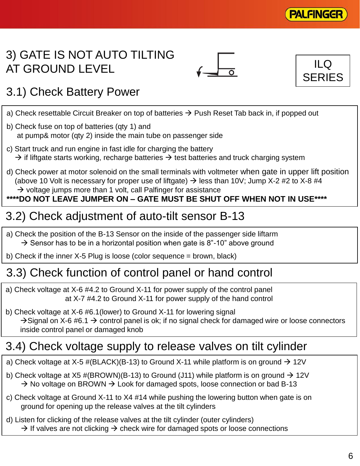

## 3) GATE IS NOT AUTO TILTING AT GROUND LEVEL





# 3.1) Check Battery Power

- a) Check resettable Circuit Breaker on top of batteries  $\rightarrow$  Push Reset Tab back in, if popped out
- b) Check fuse on top of batteries (qty 1) and at pump& motor (qty 2) inside the main tube on passenger side
- c) Start truck and run engine in fast idle for charging the battery  $\rightarrow$  if liftgate starts working, recharge batteries  $\rightarrow$  test batteries and truck charging system
- d) Check power at motor solenoid on the small terminals with voltmeter when gate in upper lift position (above 10 Volt is necessary for proper use of liftgate)  $\rightarrow$  less than 10V; Jump X-2 #2 to X-8 #4  $\rightarrow$  voltage jumps more than 1 volt, call Palfinger for assistance

#### **\*\*\*\*DO NOT LEAVE JUMPER ON – GATE MUST BE SHUT OFF WHEN NOT IN USE\*\*\*\***

# 3.2) Check adjustment of auto-tilt sensor B-13

- a) Check the position of the B-13 Sensor on the inside of the passenger side liftarm  $\rightarrow$  Sensor has to be in a horizontal position when gate is 8"-10" above ground
- b) Check if the inner X-5 Plug is loose (color sequence = brown, black)

### 3.3) Check function of control panel or hand control

- a) Check voltage at X-6 #4.2 to Ground X-11 for power supply of the control panel at X-7 #4.2 to Ground X-11 for power supply of the hand control
- b) Check voltage at X-6 #6.1(lower) to Ground X-11 for lowering signal  $\rightarrow$  Signal on X-6 #6.1  $\rightarrow$  control panel is ok; if no signal check for damaged wire or loose connectors inside control panel or damaged knob

### 3.4) Check voltage supply to release valves on tilt cylinder

- a) Check voltage at X-5 #(BLACK)(B-13) to Ground X-11 while platform is on ground  $\rightarrow$  12V
- b) Check voltage at X5 #(BROWN)(B-13) to Ground (J11) while platform is on ground  $\rightarrow$  12V  $\rightarrow$  No voltage on BROWN  $\rightarrow$  Look for damaged spots, loose connection or bad B-13
- c) Check voltage at Ground X-11 to X4 #14 while pushing the lowering button when gate is on ground for opening up the release valves at the tilt cylinders
- d) Listen for clicking of the release valves at the tilt cylinder (outer cylinders)  $\rightarrow$  If valves are not clicking  $\rightarrow$  check wire for damaged spots or loose connections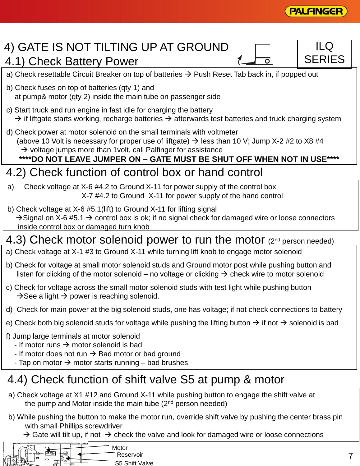

 $\Box$ 

**SERIES** 

#### 4) GATE IS NOT TILTING UP AT GROUND 4.1) Check Battery Power

- a) Check resettable Circuit Breaker on top of batteries  $\rightarrow$  Push Reset Tab back in, if popped out
- b) Check fuses on top of batteries (qty 1) and at pump& motor (qty 2) inside the main tube on passenger side
- c) Start truck and run engine in fast idle for charging the battery  $\rightarrow$  if liftgate starts working, recharge batteries  $\rightarrow$  afterwards test batteries and truck charging system
- d) Check power at motor solenoid on the small terminals with voltmeter (above 10 Volt is necessary for proper use of liftgate)  $\rightarrow$  less than 10 V; Jump X-2 #2 to X8 #4  $\rightarrow$  voltage jumps more than 1 volt, call Palfinger for assistance **\*\*\*\*DO NOT LEAVE JUMPER ON – GATE MUST BE SHUT OFF WHEN NOT IN USE\*\*\*\***

### 4.2) Check function of control box or hand control

- a) Check voltage at X-6 #4.2 to Ground X-11 for power supply of the control box X-7 #4.2 to Ground X-11 for power supply of the hand control
- b) Check voltage at X-6 #5.1(lift) to Ground X-11 for lifting signal  $\rightarrow$  Signal on X-6 #5.1  $\rightarrow$  control box is ok; if no signal check for damaged wire or loose connectors inside control box or damaged turn knob

#### 4.3) Check motor solenoid power to run the motor (2<sup>nd</sup> person needed)

- a) Check voltage at X-1 #3 to Ground X-11 while turning lift knob to engage motor solenoid
- b) Check for voltage at small motor solenoid studs and Ground motor post while pushing button and listen for clicking of the motor solenoid – no voltage or clicking  $\rightarrow$  check wire to motor solenoid
- c) Check for voltage across the small motor solenoid studs with test light while pushing button  $\rightarrow$  See a light  $\rightarrow$  power is reaching solenoid.
- d) Check for main power at the big solenoid studs, one has voltage; if not check connections to battery
- e) Check both big solenoid studs for voltage while pushing the lifting button  $\rightarrow$  if not  $\rightarrow$  solenoid is bad
- f) Jump large terminals at motor solenoid
	- If motor runs  $\rightarrow$  motor solenoid is bad
	- If motor does not run  $\rightarrow$  Bad motor or bad ground
	- Tap on motor  $\rightarrow$  motor starts running bad brushes

## 4.4) Check function of shift valve S5 at pump & motor

- a) Check voltage at X1 #12 and Ground X-11 while pushing button to engage the shift valve at the pump and Motor inside the main tube  $(2^{nd}$  person needed)
- b) While pushing the button to make the motor run, override shift valve by pushing the center brass pin with small Phillips screwdriver
	- $\rightarrow$  Gate will tilt up, if not  $\rightarrow$  check the valve and look for damaged wire or loose connections

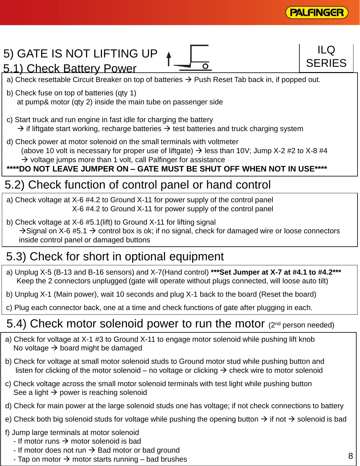

#### 5) GATE IS NOT LIFTING UP a) Check resettable Circuit Breaker on top of batteries  $\rightarrow$  Push Reset Tab back in, if popped out. b) Check fuse on top of batteries (qty 1) at pump& motor (qty 2) inside the main tube on passenger side c) Start truck and run engine in fast idle for charging the battery  $\rightarrow$  if liftgate start working, recharge batteries  $\rightarrow$  test batteries and truck charging system d) Check power at motor solenoid on the small terminals with voltmeter (above 10 volt is necessary for proper use of liftgate)  $\rightarrow$  less than 10V; Jump X-2 #2 to X-8 #4  $\rightarrow$  voltage jumps more than 1 volt, call Palfinger for assistance **\*\*\*\*DO NOT LEAVE JUMPER ON – GATE MUST BE SHUT OFF WHEN NOT IN USE\*\*\*\*** 5.1) Check Battery Power 5.2) Check function of control panel or hand control  $\overline{D}$ **SERIES**

a) Check voltage at X-6 #4.2 to Ground X-11 for power supply of the control panel X-6 #4.2 to Ground X-11 for power supply of the control panel

b) Check voltage at X-6 #5.1(lift) to Ground X-11 for lifting signal  $\rightarrow$  Signal on X-6 #5.1  $\rightarrow$  control box is ok; if no signal, check for damaged wire or loose connectors inside control panel or damaged buttons

# 5.3) Check for short in optional equipment

- a) Unplug X-5 (B-13 and B-16 sensors) and X-7(Hand control) **\*\*\*Set Jumper at X-7 at #4.1 to #4.2\*\*\*** Keep the 2 connectors unplugged (gate will operate without plugs connected, will loose auto tilt)
- b) Unplug X-1 (Main power), wait 10 seconds and plug X-1 back to the board (Reset the board)
- c) Plug each connector back, one at a time and check functions of gate after plugging in each.

# 5.4) Check motor solenoid power to run the motor (2nd person needed)

- a) Check for voltage at X-1 #3 to Ground X-11 to engage motor solenoid while pushing lift knob No voltage  $\rightarrow$  board might be damaged
- b) Check for voltage at small motor solenoid studs to Ground motor stud while pushing button and listen for clicking of the motor solenoid – no voltage or clicking  $\rightarrow$  check wire to motor solenoid
- c) Check voltage across the small motor solenoid terminals with test light while pushing button See a light  $\rightarrow$  power is reaching solenoid
- d) Check for main power at the large solenoid studs one has voltage; if not check connections to battery
- e) Check both big solenoid studs for voltage while pushing the opening button  $\rightarrow$  if not  $\rightarrow$  solenoid is bad
- f) Jump large terminals at motor solenoid
	- If motor runs  $\rightarrow$  motor solenoid is bad
	- If motor does not run  $\rightarrow$  Bad motor or bad ground
	- Tap on motor  $\rightarrow$  motor starts running bad brushes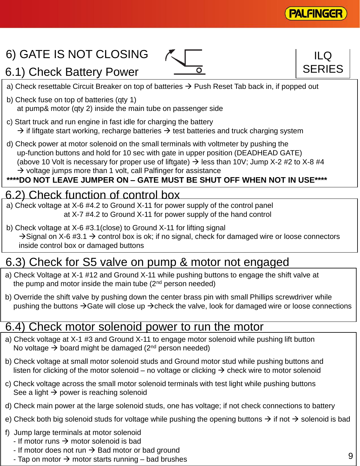

ILQ

**SERIES** 

# 6) GATE IS NOT CLOSING

6.1) Check Battery Power





- b) Check fuse on top of batteries (qty 1) at pump& motor (qty 2) inside the main tube on passenger side
- c) Start truck and run engine in fast idle for charging the battery  $\rightarrow$  if liftgate start working, recharge batteries  $\rightarrow$  test batteries and truck charging system
- d) Check power at motor solenoid on the small terminals with voltmeter by pushing the up-function buttons and hold for 10 sec with gate in upper position (DEADHEAD GATE) (above 10 Volt is necessary for proper use of liftgate)  $\rightarrow$  less than 10V; Jump X-2 #2 to X-8 #4  $\rightarrow$  voltage jumps more than 1 volt, call Palfinger for assistance

#### **\*\*\*\*DO NOT LEAVE JUMPER ON – GATE MUST BE SHUT OFF WHEN NOT IN USE\*\*\*\***

#### 6.2) Check function of control box

- a) Check voltage at X-6 #4.2 to Ground X-11 for power supply of the control panel at X-7 #4.2 to Ground X-11 for power supply of the hand control
- b) Check voltage at X-6 #3.1(close) to Ground X-11 for lifting signal  $\rightarrow$  Signal on X-6 #3.1  $\rightarrow$  control box is ok; if no signal, check for damaged wire or loose connectors inside control box or damaged buttons

#### 6.3) Check for S5 valve on pump & motor not engaged

- a) Check Voltage at X-1 #12 and Ground X-11 while pushing buttons to engage the shift valve at the pump and motor inside the main tube  $(2^{nd}$  person needed)
- b) Override the shift valve by pushing down the center brass pin with small Phillips screwdriver while pushing the buttons  $\rightarrow$  Gate will close up  $\rightarrow$  check the valve, look for damaged wire or loose connections

#### 6.4) Check motor solenoid power to run the motor

- a) Check voltage at X-1 #3 and Ground X-11 to engage motor solenoid while pushing lift button No voltage  $\rightarrow$  board might be damaged (2<sup>nd</sup> person needed)
- b) Check voltage at small motor solenoid studs and Ground motor stud while pushing buttons and listen for clicking of the motor solenoid – no voltage or clicking  $\rightarrow$  check wire to motor solenoid
- c) Check voltage across the small motor solenoid terminals with test light while pushing buttons See a light  $\rightarrow$  power is reaching solenoid
- d) Check main power at the large solenoid studs, one has voltage; if not check connections to battery
- e) Check both big solenoid studs for voltage while pushing the opening buttons  $\rightarrow$  if not  $\rightarrow$  solenoid is bad
- f) Jump large terminals at motor solenoid
	- If motor runs  $\rightarrow$  motor solenoid is bad
	- If motor does not run  $\rightarrow$  Bad motor or bad ground
	- Tap on motor  $\rightarrow$  motor starts running bad brushes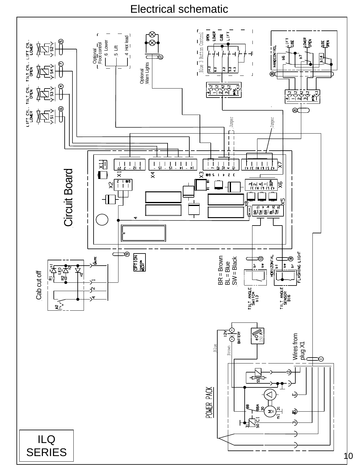#### Electrical schematic